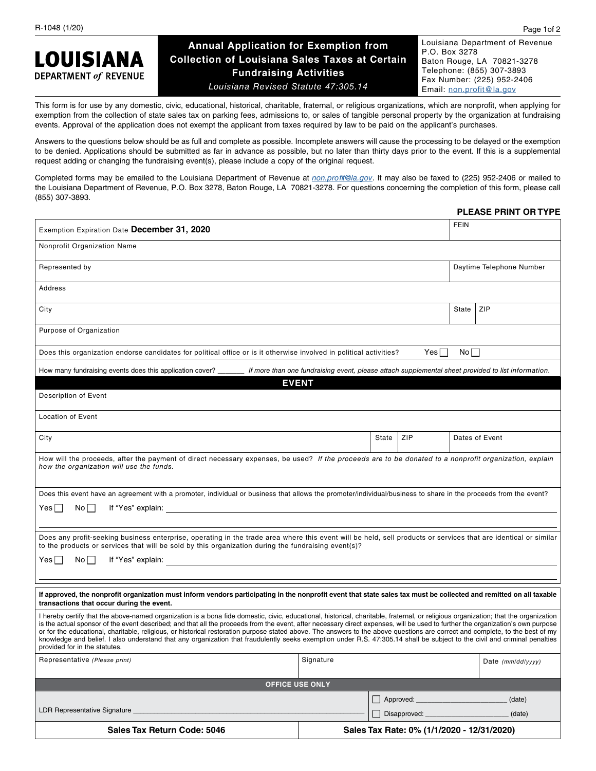# **LOUISIANA DEPARTMENT of REVENUE**

# **Annual Application for Exemption from Collection of Louisiana Sales Taxes at Certain Fundraising Activities** *Louisiana Revised Statute 47:305.14*

Louisiana Department of Revenue P.O. Box 3278 Baton Rouge, LA 70821-3278 Telephone: (855) 307-3893 Fax Number: (225) 952-2406 Email: non.profit@la.gov

This form is for use by any domestic, civic, educational, historical, charitable, fraternal, or religious organizations, which are nonprofit, when applying for exemption from the collection of state sales tax on parking fees, admissions to, or sales of tangible personal property by the organization at fundraising events. Approval of the application does not exempt the applicant from taxes required by law to be paid on the applicant's purchases.

Answers to the questions below should be as full and complete as possible. Incomplete answers will cause the processing to be delayed or the exemption to be denied. Applications should be submitted as far in advance as possible, but no later than thirty days prior to the event. If this is a supplemental request adding or changing the fundraising event(s), please include a copy of the original request.

Completed forms may be emailed to the Louisiana Department of Revenue at *non.profit@la.gov*. It may also be faxed to (225) 952-2406 or mailed to the Louisiana Department of Revenue, P.O. Box 3278, Baton Rouge, LA 70821-3278. For questions concerning the completion of this form, please call (855) 307-3893.

#### **PLEASE PRINT OR TYPE**

| Exemption Expiration Date December 31, 2020                                                                                                                                                                                                                                                                                                                                                                                                                                                                                                                                                                                                                                                                                                                           |              |                                            |              | <b>FEIN</b>              |                   |  |  |
|-----------------------------------------------------------------------------------------------------------------------------------------------------------------------------------------------------------------------------------------------------------------------------------------------------------------------------------------------------------------------------------------------------------------------------------------------------------------------------------------------------------------------------------------------------------------------------------------------------------------------------------------------------------------------------------------------------------------------------------------------------------------------|--------------|--------------------------------------------|--------------|--------------------------|-------------------|--|--|
| Nonprofit Organization Name                                                                                                                                                                                                                                                                                                                                                                                                                                                                                                                                                                                                                                                                                                                                           |              |                                            |              |                          |                   |  |  |
| Represented by                                                                                                                                                                                                                                                                                                                                                                                                                                                                                                                                                                                                                                                                                                                                                        |              |                                            |              | Daytime Telephone Number |                   |  |  |
| Address                                                                                                                                                                                                                                                                                                                                                                                                                                                                                                                                                                                                                                                                                                                                                               |              |                                            |              |                          |                   |  |  |
| City                                                                                                                                                                                                                                                                                                                                                                                                                                                                                                                                                                                                                                                                                                                                                                  |              |                                            |              | State                    | ZIP               |  |  |
| Purpose of Organization                                                                                                                                                                                                                                                                                                                                                                                                                                                                                                                                                                                                                                                                                                                                               |              |                                            |              |                          |                   |  |  |
| Yes  <br>Nol l<br>Does this organization endorse candidates for political office or is it otherwise involved in political activities?                                                                                                                                                                                                                                                                                                                                                                                                                                                                                                                                                                                                                                 |              |                                            |              |                          |                   |  |  |
| How many fundraising events does this application cover? ______ If more than one fundraising event, please attach supplemental sheet provided to list information.                                                                                                                                                                                                                                                                                                                                                                                                                                                                                                                                                                                                    |              |                                            |              |                          |                   |  |  |
|                                                                                                                                                                                                                                                                                                                                                                                                                                                                                                                                                                                                                                                                                                                                                                       | <b>EVENT</b> |                                            |              |                          |                   |  |  |
| Description of Event                                                                                                                                                                                                                                                                                                                                                                                                                                                                                                                                                                                                                                                                                                                                                  |              |                                            |              |                          |                   |  |  |
| <b>Location of Event</b>                                                                                                                                                                                                                                                                                                                                                                                                                                                                                                                                                                                                                                                                                                                                              |              |                                            |              |                          |                   |  |  |
| City                                                                                                                                                                                                                                                                                                                                                                                                                                                                                                                                                                                                                                                                                                                                                                  |              | State                                      | ZIP          |                          | Dates of Event    |  |  |
| How will the proceeds, after the payment of direct necessary expenses, be used? If the proceeds are to be donated to a nonprofit organization, explain<br>how the organization will use the funds.                                                                                                                                                                                                                                                                                                                                                                                                                                                                                                                                                                    |              |                                            |              |                          |                   |  |  |
| Does this event have an agreement with a promoter, individual or business that allows the promoter/individual/business to share in the proceeds from the event?                                                                                                                                                                                                                                                                                                                                                                                                                                                                                                                                                                                                       |              |                                            |              |                          |                   |  |  |
| No <sub>1</sub><br>Yes∣                                                                                                                                                                                                                                                                                                                                                                                                                                                                                                                                                                                                                                                                                                                                               |              |                                            |              |                          |                   |  |  |
|                                                                                                                                                                                                                                                                                                                                                                                                                                                                                                                                                                                                                                                                                                                                                                       |              |                                            |              |                          |                   |  |  |
| Does any profit-seeking business enterprise, operating in the trade area where this event will be held, sell products or services that are identical or similar<br>to the products or services that will be sold by this organization during the fundraising event(s)?                                                                                                                                                                                                                                                                                                                                                                                                                                                                                                |              |                                            |              |                          |                   |  |  |
| $No$    <br>Yes⊺ ∣                                                                                                                                                                                                                                                                                                                                                                                                                                                                                                                                                                                                                                                                                                                                                    |              |                                            |              |                          |                   |  |  |
|                                                                                                                                                                                                                                                                                                                                                                                                                                                                                                                                                                                                                                                                                                                                                                       |              |                                            |              |                          |                   |  |  |
| If approved, the nonprofit organization must inform vendors participating in the nonprofit event that state sales tax must be collected and remitted on all taxable<br>transactions that occur during the event.                                                                                                                                                                                                                                                                                                                                                                                                                                                                                                                                                      |              |                                            |              |                          |                   |  |  |
| I hereby certify that the above-named organization is a bona fide domestic, civic, educational, historical, charitable, fraternal, or religious organization; that the organization<br>is the actual sponsor of the event described; and that all the proceeds from the event, after necessary direct expenses, will be used to further the organization's own purpose<br>or for the educational, charitable, religious, or historical restoration purpose stated above. The answers to the above questions are correct and complete, to the best of my<br>knowledge and belief. I also understand that any organization that fraudulently seeks exemption under R.S. 47:305.14 shall be subject to the civil and criminal penalties<br>provided for in the statutes. |              |                                            |              |                          |                   |  |  |
| Representative (Please print)                                                                                                                                                                                                                                                                                                                                                                                                                                                                                                                                                                                                                                                                                                                                         | Signature    |                                            |              |                          | Date (mm/dd/yyyy) |  |  |
| <b>OFFICE USE ONLY</b>                                                                                                                                                                                                                                                                                                                                                                                                                                                                                                                                                                                                                                                                                                                                                |              |                                            |              |                          |                   |  |  |
|                                                                                                                                                                                                                                                                                                                                                                                                                                                                                                                                                                                                                                                                                                                                                                       |              |                                            | Approved:    |                          | (date)            |  |  |
| LDR Representative Signature _                                                                                                                                                                                                                                                                                                                                                                                                                                                                                                                                                                                                                                                                                                                                        |              |                                            | Disapproved: |                          | (date)            |  |  |
| Sales Tax Return Code: 5046                                                                                                                                                                                                                                                                                                                                                                                                                                                                                                                                                                                                                                                                                                                                           |              | Sales Tax Rate: 0% (1/1/2020 - 12/31/2020) |              |                          |                   |  |  |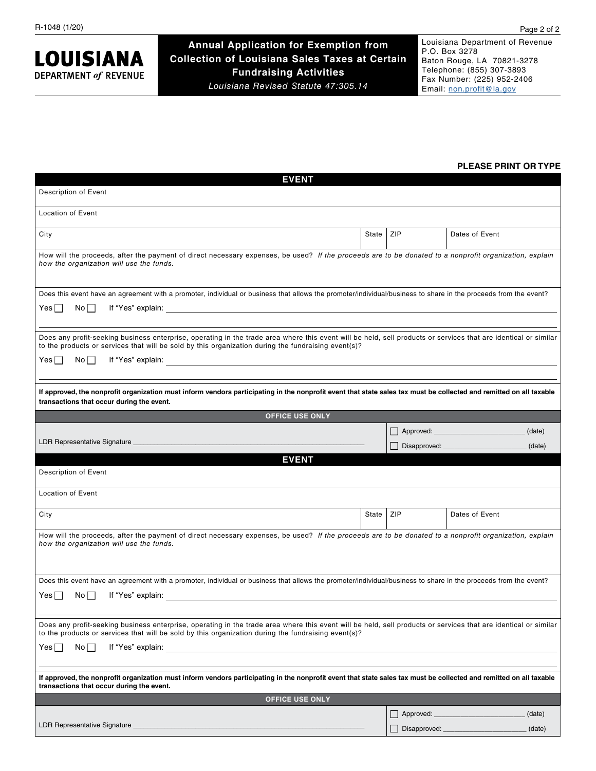**LOUISIANA DEPARTMENT of REVENUE** 

**Annual Application for Exemption from Collection of Louisiana Sales Taxes at Certain Fundraising Activities** *Louisiana Revised Statute 47:305.14*

Louisiana Department of Revenue P.O. Box 3278 Baton Rouge, LA 70821-3278 Telephone: (855) 307-3893 Fax Number: (225) 952-2406 Email: non.profit@la.gov

### **PLEASE PRINT OR TYPE**

| <b>EVENT</b>                                                                                                                                                                                                                                                                              |                        |     |                                                                                                                                                                                                                                          |  |  |  |  |
|-------------------------------------------------------------------------------------------------------------------------------------------------------------------------------------------------------------------------------------------------------------------------------------------|------------------------|-----|------------------------------------------------------------------------------------------------------------------------------------------------------------------------------------------------------------------------------------------|--|--|--|--|
| Description of Event                                                                                                                                                                                                                                                                      |                        |     |                                                                                                                                                                                                                                          |  |  |  |  |
| <b>Location of Event</b>                                                                                                                                                                                                                                                                  |                        |     |                                                                                                                                                                                                                                          |  |  |  |  |
| City                                                                                                                                                                                                                                                                                      | State                  | ZIP | Dates of Event                                                                                                                                                                                                                           |  |  |  |  |
| How will the proceeds, after the payment of direct necessary expenses, be used? If the proceeds are to be donated to a nonprofit organization, explain<br>how the organization will use the funds.                                                                                        |                        |     |                                                                                                                                                                                                                                          |  |  |  |  |
| Does this event have an agreement with a promoter, individual or business that allows the promoter/individual/business to share in the proceeds from the event?<br>Yes    <br>Noll                                                                                                        |                        |     |                                                                                                                                                                                                                                          |  |  |  |  |
|                                                                                                                                                                                                                                                                                           |                        |     |                                                                                                                                                                                                                                          |  |  |  |  |
| Does any profit-seeking business enterprise, operating in the trade area where this event will be held, sell products or services that are identical or similar<br>to the products or services that will be sold by this organization during the fundraising event(s)?<br>Yes    <br>Noll |                        |     |                                                                                                                                                                                                                                          |  |  |  |  |
|                                                                                                                                                                                                                                                                                           |                        |     |                                                                                                                                                                                                                                          |  |  |  |  |
| If approved, the nonprofit organization must inform vendors participating in the nonprofit event that state sales tax must be collected and remitted on all taxable<br>transactions that occur during the event.                                                                          |                        |     |                                                                                                                                                                                                                                          |  |  |  |  |
| <b>OFFICE USE ONLY</b>                                                                                                                                                                                                                                                                    |                        |     |                                                                                                                                                                                                                                          |  |  |  |  |
|                                                                                                                                                                                                                                                                                           |                        |     | (date)                                                                                                                                                                                                                                   |  |  |  |  |
|                                                                                                                                                                                                                                                                                           |                        |     | Disapproved: ________________<br>(date)                                                                                                                                                                                                  |  |  |  |  |
| <b>EVENT</b>                                                                                                                                                                                                                                                                              |                        |     |                                                                                                                                                                                                                                          |  |  |  |  |
| Description of Event                                                                                                                                                                                                                                                                      |                        |     |                                                                                                                                                                                                                                          |  |  |  |  |
| <b>Location of Event</b>                                                                                                                                                                                                                                                                  |                        |     |                                                                                                                                                                                                                                          |  |  |  |  |
| City                                                                                                                                                                                                                                                                                      | State                  | ZIP | Dates of Event                                                                                                                                                                                                                           |  |  |  |  |
| How will the proceeds, after the payment of direct necessary expenses, be used? If the proceeds are to be donated to a nonprofit organization, explain<br>how the organization will use the funds.                                                                                        |                        |     |                                                                                                                                                                                                                                          |  |  |  |  |
| Does this event have an agreement with a promoter, individual or business that allows the promoter/individual/business to share in the proceeds from the event?                                                                                                                           |                        |     |                                                                                                                                                                                                                                          |  |  |  |  |
| Yesl<br>Noll                                                                                                                                                                                                                                                                              |                        |     |                                                                                                                                                                                                                                          |  |  |  |  |
|                                                                                                                                                                                                                                                                                           |                        |     |                                                                                                                                                                                                                                          |  |  |  |  |
| Does any profit-seeking business enterprise, operating in the trade area where this event will be held, sell products or services that are identical or similar<br>to the products or services that will be sold by this organization during the fundraising event(s)?                    |                        |     |                                                                                                                                                                                                                                          |  |  |  |  |
| Yes    <br>Noll                                                                                                                                                                                                                                                                           |                        |     |                                                                                                                                                                                                                                          |  |  |  |  |
| If approved, the nonprofit organization must inform vendors participating in the nonprofit event that state sales tax must be collected and remitted on all taxable<br>transactions that occur during the event.                                                                          |                        |     |                                                                                                                                                                                                                                          |  |  |  |  |
|                                                                                                                                                                                                                                                                                           | <b>OFFICE USE ONLY</b> |     |                                                                                                                                                                                                                                          |  |  |  |  |
|                                                                                                                                                                                                                                                                                           |                        |     |                                                                                                                                                                                                                                          |  |  |  |  |
|                                                                                                                                                                                                                                                                                           |                        |     | Approved: Approved: Approved: Approved: Approved: Approved: Approved: Approved: Approved: Approved: Approved: Approved: Approved: Approved: Approved: Approved: Approved: Approved: Approved: Approved: Approved: Approved: Ap<br>(date) |  |  |  |  |